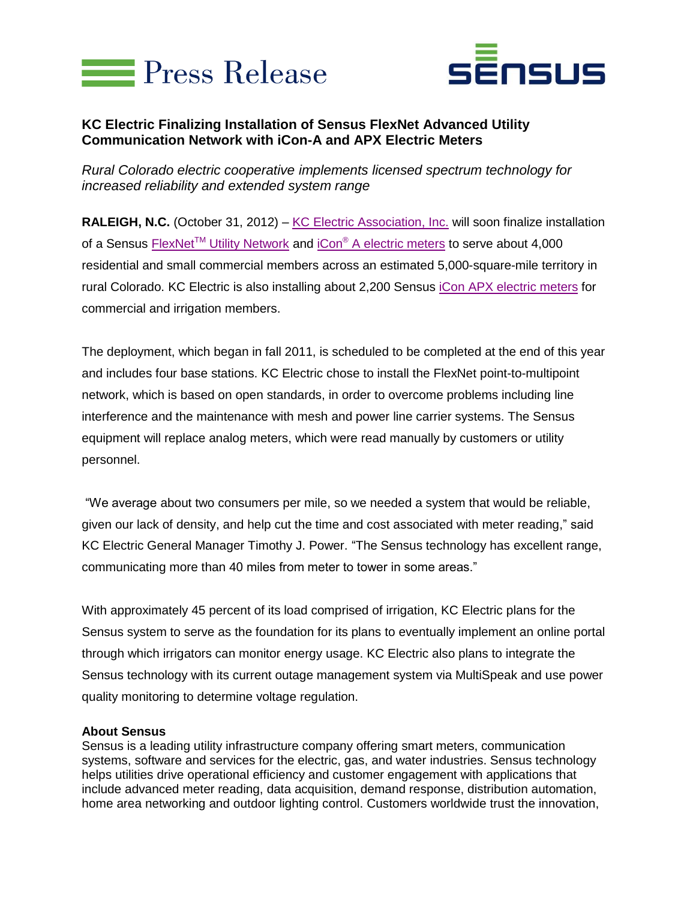



## **KC Electric Finalizing Installation of Sensus FlexNet Advanced Utility Communication Network with iCon-A and APX Electric Meters**

*Rural Colorado electric cooperative implements licensed spectrum technology for increased reliability and extended system range*

RALEIGH, N.C. (October 31, 2012) – [KC Electric Association, Inc.](http://kcelectric.coop/index.cfm) will soon finalize installation of a Sensus FlexNet<sup>TM</sup> [Utility Network](http://www.sensus.com/nextgen) and iCon<sup>®</sup> A [electric meters](http://sensus.com/web/usca/electric/product-line/electricity-metering/product/icon-a-residential-meter) to serve about 4,000 residential and small commercial members across an estimated 5,000-square-mile territory in rural Colorado. KC Electric is also installing about 2,200 Sensus [iCon APX electric meters](http://sensus.com/web/usca/electric/product-line/electricity-metering/product/icon-apx-c-and-i-meter) for commercial and irrigation members.

The deployment, which began in fall 2011, is scheduled to be completed at the end of this year and includes four base stations. KC Electric chose to install the FlexNet point-to-multipoint network, which is based on open standards, in order to overcome problems including line interference and the maintenance with mesh and power line carrier systems. The Sensus equipment will replace analog meters, which were read manually by customers or utility personnel.

"We average about two consumers per mile, so we needed a system that would be reliable, given our lack of density, and help cut the time and cost associated with meter reading," said KC Electric General Manager Timothy J. Power. "The Sensus technology has excellent range, communicating more than 40 miles from meter to tower in some areas."

With approximately 45 percent of its load comprised of irrigation, KC Electric plans for the Sensus system to serve as the foundation for its plans to eventually implement an online portal through which irrigators can monitor energy usage. KC Electric also plans to integrate the Sensus technology with its current outage management system via MultiSpeak and use power quality monitoring to determine voltage regulation.

## **About Sensus**

Sensus is a leading utility infrastructure company offering smart meters, communication systems, software and services for the electric, gas, and water industries. Sensus technology helps utilities drive operational efficiency and customer engagement with applications that include advanced meter reading, data acquisition, demand response, distribution automation, home area networking and outdoor lighting control. Customers worldwide trust the innovation,